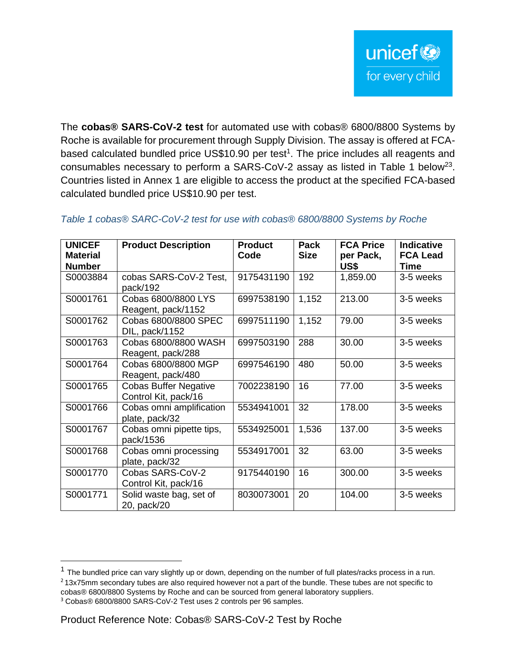The **cobas® SARS-CoV-2 test** for automated use with cobas® 6800/8800 Systems by Roche is available for procurement through Supply Division. The assay is offered at FCAbased calculated bundled price US\$10.90 per test<sup>1</sup>. The price includes all reagents and consumables necessary to perform a SARS-CoV-2 assay as listed in Table 1 below<sup>23</sup>. Countries listed in Annex 1 are eligible to access the product at the specified FCA-based calculated bundled price US\$10.90 per test.

| <b>UNICEF</b><br><b>Material</b><br><b>Number</b> | <b>Product Description</b>                           | <b>Product</b><br>Code | Pack<br><b>Size</b> | <b>FCA Price</b><br>per Pack,<br>US\$ | <b>Indicative</b><br><b>FCA Lead</b><br><b>Time</b> |
|---------------------------------------------------|------------------------------------------------------|------------------------|---------------------|---------------------------------------|-----------------------------------------------------|
| S0003884                                          | cobas SARS-CoV-2 Test,<br>pack/192                   | 9175431190             | 192                 | 1,859.00                              | 3-5 weeks                                           |
| S0001761                                          | Cobas 6800/8800 LYS<br>Reagent, pack/1152            | 6997538190             | 1,152               | 213.00                                | 3-5 weeks                                           |
| S0001762                                          | Cobas 6800/8800 SPEC<br>DIL, pack/1152               | 6997511190             | 1,152               | 79.00                                 | 3-5 weeks                                           |
| S0001763                                          | Cobas 6800/8800 WASH<br>Reagent, pack/288            | 6997503190             | 288                 | 30.00                                 | 3-5 weeks                                           |
| S0001764                                          | Cobas 6800/8800 MGP<br>Reagent, pack/480             | 6997546190             | 480                 | 50.00                                 | 3-5 weeks                                           |
| S0001765                                          | <b>Cobas Buffer Negative</b><br>Control Kit, pack/16 | 7002238190             | 16                  | 77.00                                 | 3-5 weeks                                           |
| S0001766                                          | Cobas omni amplification<br>plate, pack/32           | 5534941001             | 32                  | 178.00                                | 3-5 weeks                                           |
| S0001767                                          | Cobas omni pipette tips,<br>pack/1536                | 5534925001             | 1,536               | 137.00                                | 3-5 weeks                                           |
| S0001768                                          | Cobas omni processing<br>plate, pack/32              | 5534917001             | 32                  | 63.00                                 | 3-5 weeks                                           |
| S0001770                                          | Cobas SARS-CoV-2<br>Control Kit, pack/16             | 9175440190             | 16                  | 300.00                                | 3-5 weeks                                           |
| S0001771                                          | Solid waste bag, set of<br>20, pack/20               | 8030073001             | 20                  | 104.00                                | 3-5 weeks                                           |

# *Table 1 cobas® SARC-CoV-2 test for use with cobas® 6800/8800 Systems by Roche*

 $1$  The bundled price can vary slightly up or down, depending on the number of full plates/racks process in a run. <sup>2</sup> 13x75mm secondary tubes are also required however not a part of the bundle. These tubes are not specific to

cobas® 6800/8800 Systems by Roche and can be sourced from general laboratory suppliers.

<sup>3</sup> Cobas® 6800/8800 SARS-CoV-2 Test uses 2 controls per 96 samples.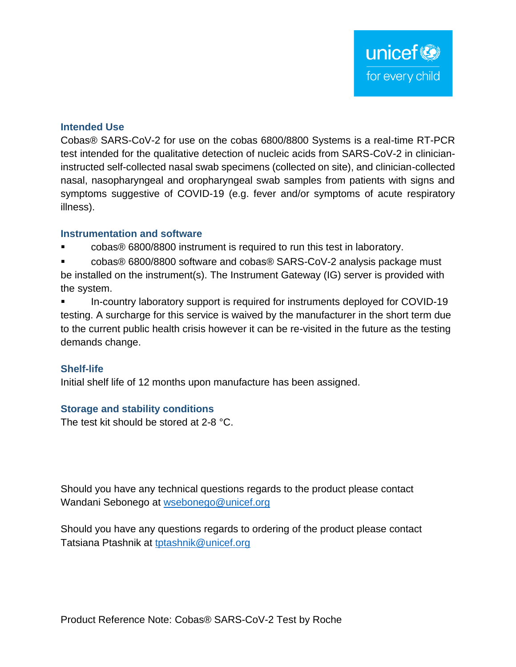## **Intended Use**

Cobas® SARS-CoV-2 for use on the cobas 6800/8800 Systems is a real-time RT-PCR test intended for the qualitative detection of nucleic acids from SARS-CoV-2 in clinicianinstructed self-collected nasal swab specimens (collected on site), and clinician-collected nasal, nasopharyngeal and oropharyngeal swab samples from patients with signs and symptoms suggestive of COVID-19 (e.g. fever and/or symptoms of acute respiratory illness).

### **Instrumentation and software**

- cobas® 6800/8800 instrument is required to run this test in laboratory.
- cobas® 6800/8800 software and cobas® SARS-CoV-2 analysis package must be installed on the instrument(s). The Instrument Gateway (IG) server is provided with the system.
- In-country laboratory support is required for instruments deployed for COVID-19 testing. A surcharge for this service is waived by the manufacturer in the short term due to the current public health crisis however it can be re-visited in the future as the testing demands change.

# **Shelf-life**

Initial shelf life of 12 months upon manufacture has been assigned.

# **Storage and stability conditions**

The test kit should be stored at 2-8 °C.

Should you have any technical questions regards to the product please contact Wandani Sebonego at [wsebonego@unicef.org](mailto:wsebonego@unicef.org)

Should you have any questions regards to ordering of the product please contact Tatsiana Ptashnik at [tptashnik@unicef.org](mailto:tptashnik@unicef.org)